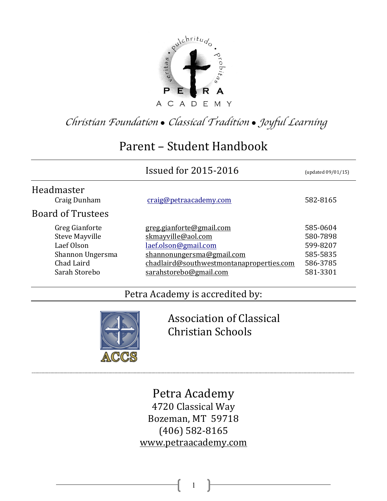

*Christian Foundation* ! *Classical Tradition* ! *Joyful Learning*

# Parent - Student Handbook

|                                                                                                          | <b>Issued for 2015-2016</b>                                                                                                                                               | (updated 09/01/15)                                                   |
|----------------------------------------------------------------------------------------------------------|---------------------------------------------------------------------------------------------------------------------------------------------------------------------------|----------------------------------------------------------------------|
| Headmaster<br>Craig Dunham                                                                               | craig@petraacademy.com                                                                                                                                                    | 582-8165                                                             |
| <b>Board of Trustees</b>                                                                                 |                                                                                                                                                                           |                                                                      |
| Greg Gianforte<br><b>Steve Mayville</b><br>Laef Olson<br>Shannon Ungersma<br>Chad Laird<br>Sarah Storebo | greg.gianforte@gmail.com<br>skmayville@aol.com<br>laef.olson@gmail.com<br>shannonungersma@gmail.com<br>chadlaird@southwestmontanaproperties.com<br>sarahstorebo@gmail.com | 585-0604<br>580-7898<br>599-8207<br>585-5835<br>586-3785<br>581-3301 |

# Petra Academy is accredited by:



Association of Classical Christian Schools

Petra Academy 4720 Classical Way Bozeman, MT 59718 (406) 582-8165 www.petraacademy.com

\_\_\_\_\_\_\_\_\_\_\_\_\_\_\_\_\_\_\_\_\_\_\_\_\_\_\_\_\_\_\_\_\_\_\_\_\_\_\_\_\_\_\_\_\_\_\_\_\_\_\_\_\_\_\_\_\_\_\_\_\_\_\_\_\_\_\_\_\_\_\_\_\_\_\_\_\_\_\_\_\_\_\_\_\_\_\_\_\_\_\_\_\_\_\_\_\_\_\_\_\_\_\_\_\_\_\_\_\_\_\_\_\_\_\_\_\_\_\_\_\_\_\_\_\_\_\_\_\_\_\_\_\_\_\_\_\_\_\_\_\_\_\_\_\_\_\_\_\_\_\_\_\_\_\_\_\_\_\_\_\_\_\_\_\_\_\_\_\_\_\_\_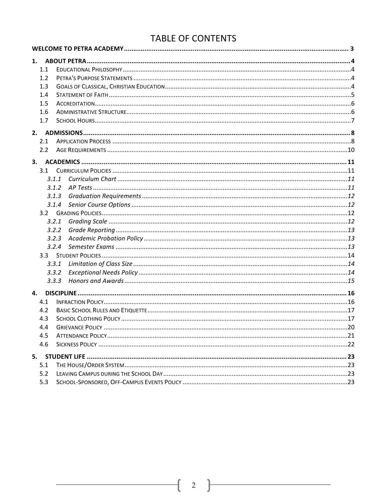# TABLE OF CONTENTS

| 1.1 |       |  |
|-----|-------|--|
| 1.2 |       |  |
| 1.3 |       |  |
| 1.4 |       |  |
| 1.5 |       |  |
| 1.6 |       |  |
| 1.7 |       |  |
|     |       |  |
| 2.1 |       |  |
| 2.2 |       |  |
|     |       |  |
|     |       |  |
|     | 3.1.1 |  |
|     | 3.1.2 |  |
|     | 3.1.3 |  |
|     | 3.1.4 |  |
|     |       |  |
|     | 3.2.1 |  |
|     | 3.2.2 |  |
|     | 3.2.3 |  |
|     | 3.2.4 |  |
|     |       |  |
|     | 3.3.1 |  |
|     | 3.3.2 |  |
|     | 3.3.3 |  |
| 4.  |       |  |
| 4.1 |       |  |
| 4.2 |       |  |
| 4.3 |       |  |
| 4.4 |       |  |
| 4.5 |       |  |
| 4.6 |       |  |
| 5.  |       |  |
| 5.1 |       |  |
| 5.2 |       |  |
| 5.3 |       |  |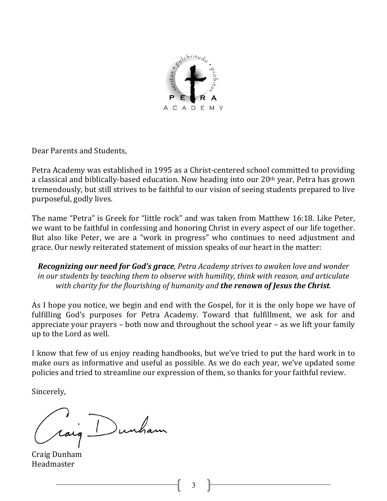

Dear Parents and Students,

Petra Academy was established in 1995 as a Christ-centered school committed to providing a classical and biblically-based education. Now heading into our  $20<sup>th</sup>$  year, Petra has grown tremendously, but still strives to be faithful to our vision of seeing students prepared to live purposeful, godly lives.

The name "Petra" is Greek for "little rock" and was taken from Matthew 16:18. Like Peter, we want to be faithful in confessing and honoring Christ in every aspect of our life together. But also like Peter, we are a "work in progress" who continues to need adjustment and grace. Our newly reiterated statement of mission speaks of our heart in the matter:

**Recognizing our need for God's grace**, Petra Academy strives to awaken love and wonder *in* our students by teaching them to observe with humility, think with reason, and articulate with charity for the flourishing of humanity and **the renown of Jesus the Christ**.

As I hope you notice, we begin and end with the Gospel, for it is the only hope we have of fulfilling God's purposes for Petra Academy. Toward that fulfillment, we ask for and appreciate your prayers  $-$  both now and throughout the school year  $-$  as we lift your family up to the Lord as well.

I know that few of us enjoy reading handbooks, but we've tried to put the hard work in to make ours as informative and useful as possible. As we do each year, we've updated some policies and tried to streamline our expression of them, so thanks for your faithful review.

Sincerely,

raig Dunham

Craig Dunham Headmaster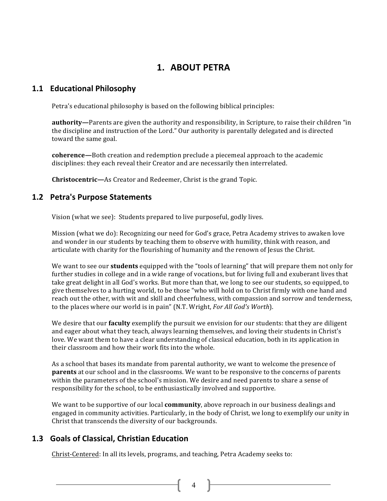# **1. ABOUT PETRA**

### **1.1 Educational Philosophy**

Petra's educational philosophy is based on the following biblical principles:

**authority—**Parents are given the authority and responsibility, in Scripture, to raise their children "in the discipline and instruction of the Lord." Our authority is parentally delegated and is directed toward the same goal.

**coherence—**Both creation and redemption preclude a piecemeal approach to the academic disciplines: they each reveal their Creator and are necessarily then interrelated.

**Christocentric—**As Creator and Redeemer, Christ is the grand Topic.

### **1.2 Petra's Purpose Statements**

Vision (what we see): Students prepared to live purposeful, godly lives.

Mission (what we do): Recognizing our need for God's grace, Petra Academy strives to awaken love and wonder in our students by teaching them to observe with humility, think with reason, and articulate with charity for the flourishing of humanity and the renown of Jesus the Christ.

We want to see our **students** equipped with the "tools of learning" that will prepare them not only for further studies in college and in a wide range of vocations, but for living full and exuberant lives that take great delight in all God's works. But more than that, we long to see our students, so equipped, to give themselves to a hurting world, to be those "who will hold on to Christ firmly with one hand and reach out the other, with wit and skill and cheerfulness, with compassion and sorrow and tenderness, to the places where our world is in pain" (N.T. Wright, *For All God's Worth*).

We desire that our **faculty** exemplify the pursuit we envision for our students: that they are diligent and eager about what they teach, always learning themselves, and loving their students in Christ's love. We want them to have a clear understanding of classical education, both in its application in their classroom and how their work fits into the whole.

As a school that bases its mandate from parental authority, we want to welcome the presence of **parents** at our school and in the classrooms. We want to be responsive to the concerns of parents within the parameters of the school's mission. We desire and need parents to share a sense of responsibility for the school, to be enthusiastically involved and supportive.

We want to be supportive of our local **community**, above reproach in our business dealings and engaged in community activities. Particularly, in the body of Christ, we long to exemplify our unity in Christ that transcends the diversity of our backgrounds.

 $\begin{bmatrix} 4 \end{bmatrix}$ 

### **1.3 Goals of Classical, Christian Education**

Christ-Centered: In all its levels, programs, and teaching, Petra Academy seeks to: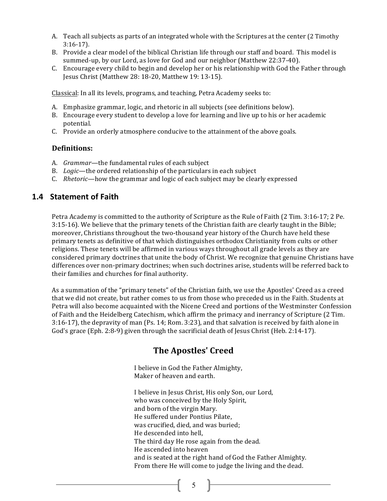- A. Teach all subjects as parts of an integrated whole with the Scriptures at the center (2 Timothy 3:16-17).
- B. Provide a clear model of the biblical Christian life through our staff and board. This model is summed-up, by our Lord, as love for God and our neighbor (Matthew 22:37-40).
- C. Encourage every child to begin and develop her or his relationship with God the Father through Jesus Christ (Matthew 28: 18-20, Matthew 19: 13-15).

Classical: In all its levels, programs, and teaching, Petra Academy seeks to:

- A. Emphasize grammar, logic, and rhetoric in all subjects (see definitions below).
- B. Encourage every student to develop a love for learning and live up to his or her academic potential.
- C. Provide an orderly atmosphere conducive to the attainment of the above goals.

#### **Definitions:**

- A. *Grammar*—the fundamental rules of each subject
- B. Logic—the ordered relationship of the particulars in each subject
- C. *Rhetoric*—how the grammar and logic of each subject may be clearly expressed

### **1.4 Statement of Faith**

Petra Academy is committed to the authority of Scripture as the Rule of Faith (2 Tim. 3:16-17; 2 Pe. 3:15-16). We believe that the primary tenets of the Christian faith are clearly taught in the Bible; moreover, Christians throughout the two-thousand year history of the Church have held these primary tenets as definitive of that which distinguishes orthodox Christianity from cults or other religions. These tenets will be affirmed in various ways throughout all grade levels as they are considered primary doctrines that unite the body of Christ. We recognize that genuine Christians have differences over non-primary doctrines; when such doctrines arise, students will be referred back to their families and churches for final authority.

As a summation of the "primary tenets" of the Christian faith, we use the Apostles' Creed as a creed that we did not create, but rather comes to us from those who preceded us in the Faith. Students at Petra will also become acquainted with the Nicene Creed and portions of the Westminster Confession of Faith and the Heidelberg Catechism, which affirm the primacy and inerrancy of Scripture (2 Tim. 3:16-17), the depravity of man (Ps. 14; Rom. 3:23), and that salvation is received by faith alone in God's grace (Eph. 2:8-9) given through the sacrificial death of Jesus Christ (Heb. 2:14-17).

# **The Apostles' Creed**

I believe in God the Father Almighty, Maker of heaven and earth.

I believe in Jesus Christ, His only Son, our Lord, who was conceived by the Holy Spirit, and born of the virgin Mary. He suffered under Pontius Pilate. was crucified, died, and was buried; He descended into hell. The third day He rose again from the dead. He ascended into heaven and is seated at the right hand of God the Father Almighty. From there He will come to judge the living and the dead.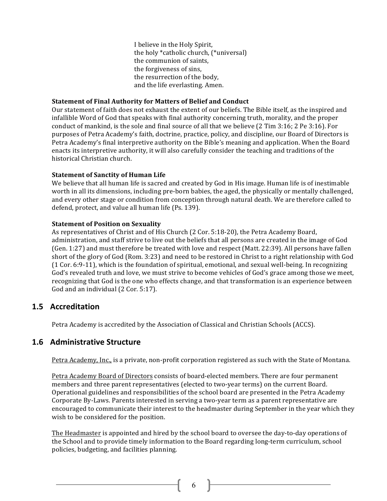I believe in the Holy Spirit, the holy \*catholic church, (\*universal) the communion of saints, the forgiveness of sins, the resurrection of the body, and the life everlasting. Amen.

#### **Statement of Final Authority for Matters of Belief and Conduct**

Our statement of faith does not exhaust the extent of our beliefs. The Bible itself, as the inspired and infallible Word of God that speaks with final authority concerning truth, morality, and the proper conduct of mankind, is the sole and final source of all that we believe  $(2 \text{ Tim } 3:16; 2 \text{ Pe } 3:16)$ . For purposes of Petra Academy's faith, doctrine, practice, policy, and discipline, our Board of Directors is Petra Academy's final interpretive authority on the Bible's meaning and application. When the Board enacts its interpretive authority, it will also carefully consider the teaching and traditions of the historical Christian church.

#### **Statement of Sanctity of Human Life**

We believe that all human life is sacred and created by God in His image. Human life is of inestimable worth in all its dimensions, including pre-born babies, the aged, the physically or mentally challenged, and every other stage or condition from conception through natural death. We are therefore called to defend, protect, and value all human life (Ps. 139).

#### **Statement of Position on Sexuality**

As representatives of Christ and of His Church (2 Cor. 5:18-20), the Petra Academy Board, administration, and staff strive to live out the beliefs that all persons are created in the image of God  $(Gen. 1:27)$  and must therefore be treated with love and respect  $(Matt. 22:39)$ . All persons have fallen short of the glory of God (Rom. 3:23) and need to be restored in Christ to a right relationship with God  $(1$  Cor. 6:9-11), which is the foundation of spiritual, emotional, and sexual well-being. In recognizing God's revealed truth and love, we must strive to become vehicles of God's grace among those we meet, recognizing that God is the one who effects change, and that transformation is an experience between God and an individual  $(2 \text{ Cor. } 5:17)$ .

### **1.5 Accreditation**

Petra Academy is accredited by the Association of Classical and Christian Schools (ACCS).

#### **1.6 Administrative Structure**

Petra Academy, Inc., is a private, non-profit corporation registered as such with the State of Montana.

Petra Academy Board of Directors consists of board-elected members. There are four permanent members and three parent representatives (elected to two-year terms) on the current Board. Operational guidelines and responsibilities of the school board are presented in the Petra Academy Corporate By-Laws. Parents interested in serving a two-year term as a parent representative are encouraged to communicate their interest to the headmaster during September in the year which they wish to be considered for the position.

The Headmaster is appointed and hired by the school board to oversee the day-to-day operations of the School and to provide timely information to the Board regarding long-term curriculum, school policies, budgeting, and facilities planning.

 $\begin{bmatrix} 6 \end{bmatrix}$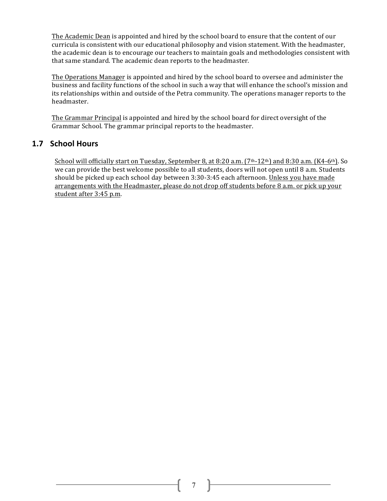The Academic Dean is appointed and hired by the school board to ensure that the content of our curricula is consistent with our educational philosophy and vision statement. With the headmaster, the academic dean is to encourage our teachers to maintain goals and methodologies consistent with that same standard. The academic dean reports to the headmaster.

The Operations Manager is appointed and hired by the school board to oversee and administer the business and facility functions of the school in such a way that will enhance the school's mission and its relationships within and outside of the Petra community. The operations manager reports to the headmaster.

The Grammar Principal is appointed and hired by the school board for direct oversight of the Grammar School. The grammar principal reports to the headmaster.

### **1.7 School Hours**

School will officially start on Tuesday, September 8, at  $8:20$  a.m.  $(7th-12th)$  and  $8:30$  a.m.  $(K4-6th)$ . So we can provide the best welcome possible to all students, doors will not open until 8 a.m. Students should be picked up each school day between 3:30-3:45 each afternoon. Unless you have made arrangements with the Headmaster, please do not drop off students before 8 a.m. or pick up your student after 3:45 p.m.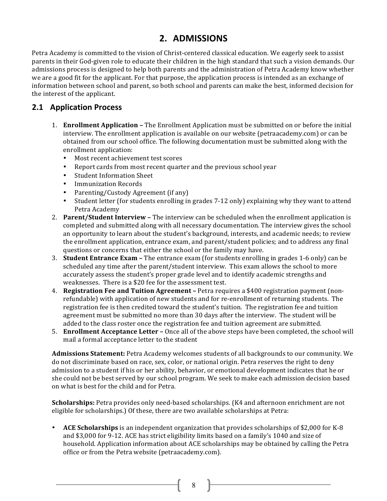# **2. ADMISSIONS**

Petra Academy is committed to the vision of Christ-centered classical education. We eagerly seek to assist parents in their God-given role to educate their children in the high standard that such a vision demands. Our admissions process is designed to help both parents and the administration of Petra Academy know whether we are a good fit for the applicant. For that purpose, the application process is intended as an exchange of information between school and parent, so both school and parents can make the best, informed decision for the interest of the applicant.

### **2.1 Application Process**

- 1. **Enrollment Application** The Enrollment Application must be submitted on or before the initial interview. The enrollment application is available on our website (petraacademy.com) or can be obtained from our school office. The following documentation must be submitted along with the enrollment application:
	- Most recent achievement test scores
	- Report cards from most recent quarter and the previous school year
	- Student Information Sheet
	- **Immunization Records**
	- Parenting/Custody Agreement (if any)
	- Student letter (for students enrolling in grades 7-12 only) explaining why they want to attend Petra Academy
- 2. **Parent/Student Interview** The interview can be scheduled when the enrollment application is completed and submitted along with all necessary documentation. The interview gives the school an opportunity to learn about the student's background, interests, and academic needs; to review the enrollment application, entrance exam, and parent/student policies; and to address any final questions or concerns that either the school or the family may have.
- 3. **Student Entrance Exam** The entrance exam (for students enrolling in grades 1-6 only) can be scheduled any time after the parent/student interview. This exam allows the school to more accurately assess the student's proper grade level and to identify academic strengths and weaknesses. There is a \$20 fee for the assessment test.
- 4. **Registration Fee and Tuition Agreement** Petra requires a \$400 registration payment (nonrefundable) with application of new students and for re-enrollment of returning students. The registration fee is then credited toward the student's tuition. The registration fee and tuition agreement must be submitted no more than 30 days after the interview. The student will be added to the class roster once the registration fee and tuition agreement are submitted.
- 5. **Enrollment Acceptance Letter** Once all of the above steps have been completed, the school will mail a formal acceptance letter to the student

**Admissions Statement:** Petra Academy welcomes students of all backgrounds to our community. We do not discriminate based on race, sex, color, or national origin. Petra reserves the right to deny admission to a student if his or her ability, behavior, or emotional development indicates that he or she could not be best served by our school program. We seek to make each admission decision based on what is best for the child and for Petra.

**Scholarships:** Petra provides only need-based scholarships. (K4 and afternoon enrichment are not eligible for scholarships.) Of these, there are two available scholarships at Petra:

• **ACE Scholarships** is an independent organization that provides scholarships of \$2,000 for K-8 and  $$3,000$  for 9-12. ACE has strict eligibility limits based on a family's 1040 and size of household. Application information about ACE scholarships may be obtained by calling the Petra office or from the Petra website (petraacademy.com).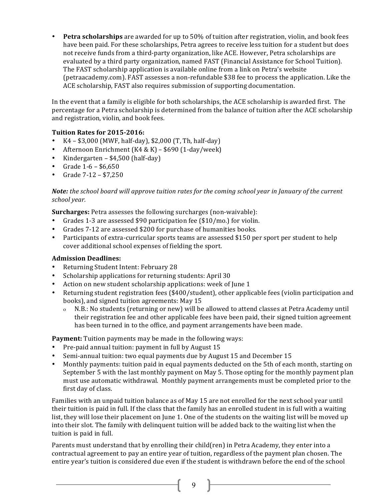• **Petra scholarships** are awarded for up to 50% of tuition after registration, violin, and book fees have been paid. For these scholarships, Petra agrees to receive less tuition for a student but does not receive funds from a third-party organization, like ACE. However, Petra scholarships are evaluated by a third party organization, named FAST (Financial Assistance for School Tuition). The FAST scholarship application is available online from a link on Petra's website (petraacademy.com). FAST assesses a non-refundable \$38 fee to process the application. Like the ACE scholarship, FAST also requires submission of supporting documentation.

In the event that a family is eligible for both scholarships, the ACE scholarship is awarded first. The percentage for a Petra scholarship is determined from the balance of tuition after the ACE scholarship and registration, violin, and book fees.

#### **Tuition Rates for 2015-2016:**

- $K4 $3,000$  (MWF, half-day), \$2,000 (T, Th, half-day)
- Afternoon Enrichment (K4 & K)  $$690$  (1-day/week)
- Kindergarten  $$4,500$  (half-day)
- Grade  $1-6 $6,650$
- Grade  $7-12 $7,250$

#### *Note:* the school board will approve tuition rates for the coming school year in January of the current *school year.*

**Surcharges:** Petra assesses the following surcharges (non-waivable):

- Grades 1-3 are assessed \$90 participation fee  $$10/mol$  for violin.
- Grades 7-12 are assessed \$200 for purchase of humanities books.
- Participants of extra-curricular sports teams are assessed \$150 per sport per student to help cover additional school expenses of fielding the sport.

#### **Admission Deadlines:**

- Returning Student Intent: February 28
- Scholarship applications for returning students: April 30
- Action on new student scholarship applications: week of June 1
- Returning student registration fees (\$400/student), other applicable fees (violin participation and books), and signed tuition agreements: May 15
	- ο N.B.: No students (returning or new) will be allowed to attend classes at Petra Academy until their registration fee and other applicable fees have been paid, their signed tuition agreement has been turned in to the office, and payment arrangements have been made.

**Payment:** Tuition payments may be made in the following ways:

- Pre-paid annual tuition: payment in full by August 15
- Semi-annual tuition: two equal payments due by August 15 and December 15
- Monthly payments: tuition paid in equal payments deducted on the 5th of each month, starting on September 5 with the last monthly payment on May 5. Those opting for the monthly payment plan must use automatic withdrawal. Monthly payment arrangements must be completed prior to the first day of class.

Families with an unpaid tuition balance as of May 15 are not enrolled for the next school year until their tuition is paid in full. If the class that the family has an enrolled student in is full with a waiting list, they will lose their placement on June 1. One of the students on the waiting list will be moved up into their slot. The family with delinquent tuition will be added back to the waiting list when the tuition is paid in full.

Parents must understand that by enrolling their child(ren) in Petra Academy, they enter into a contractual agreement to pay an entire year of tuition, regardless of the payment plan chosen. The entire year's tuition is considered due even if the student is withdrawn before the end of the school

9 |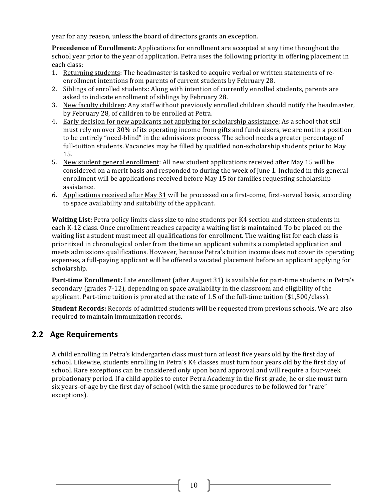year for any reason, unless the board of directors grants an exception.

**Precedence of Enrollment:** Applications for enrollment are accepted at any time throughout the school year prior to the year of application. Petra uses the following priority in offering placement in each class:

- 1. Returning students: The headmaster is tasked to acquire verbal or written statements of reenrollment intentions from parents of current students by February 28.
- 2. Siblings of enrolled students: Along with intention of currently enrolled students, parents are asked to indicate enrollment of siblings by February 28.
- 3. New faculty children: Any staff without previously enrolled children should notify the headmaster, by February 28, of children to be enrolled at Petra.
- 4. Early decision for new applicants not applying for scholarship assistance: As a school that still must rely on over 30% of its operating income from gifts and fundraisers, we are not in a position to be entirely "need-blind" in the admissions process. The school needs a greater percentage of full-tuition students. Vacancies may be filled by qualified non-scholarship students prior to May 15.
- 5. New student general enrollment: All new student applications received after May 15 will be considered on a merit basis and responded to during the week of June 1. Included in this general enrollment will be applications received before May 15 for families requesting scholarship assistance.
- 6. Applications received after May 31 will be processed on a first-come, first-served basis, according to space availability and suitability of the applicant.

**Waiting List:** Petra policy limits class size to nine students per K4 section and sixteen students in each K-12 class. Once enrollment reaches capacity a waiting list is maintained. To be placed on the waiting list a student must meet all qualifications for enrollment. The waiting list for each class is prioritized in chronological order from the time an applicant submits a completed application and meets admissions qualifications. However, because Petra's tuition income does not cover its operating expenses, a full-paying applicant will be offered a vacated placement before an applicant applying for scholarship.

**Part-time Enrollment:** Late enrollment (after August 31) is available for part-time students in Petra's secondary (grades  $7-12$ ), depending on space availability in the classroom and eligibility of the applicant. Part-time tuition is prorated at the rate of 1.5 of the full-time tuition  $(\$1,500/class)$ .

**Student Records:** Records of admitted students will be requested from previous schools. We are also required to maintain immunization records.

### **2.2 Age Requirements**

A child enrolling in Petra's kindergarten class must turn at least five years old by the first day of school. Likewise, students enrolling in Petra's K4 classes must turn four years old by the first day of school. Rare exceptions can be considered only upon board approval and will require a four-week probationary period. If a child applies to enter Petra Academy in the first-grade, he or she must turn six years-of-age by the first day of school (with the same procedures to be followed for "rare" exceptions).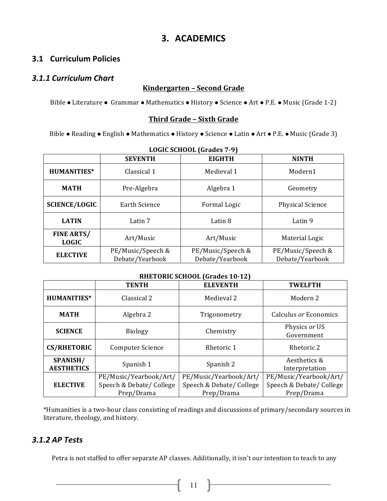# **3. ACADEMICS**

### **3.1 Curriculum Policies**

#### *3.1.1 Curriculum Chart*

### **Kindergarten – Second Grade**

Bible • Literature • Grammar • Mathematics • History • Science • Art • P.E. • Music (Grade 1-2)

#### **Third Grade – Sixth Grade**

Bible • Reading • English • Mathematics • History • Science • Latin • Art • P.E. • Music (Grade 3)

| Louis School (diades / 7)         |                                      |                                      |                                      |
|-----------------------------------|--------------------------------------|--------------------------------------|--------------------------------------|
|                                   | <b>SEVENTH</b>                       | <b>EIGHTH</b>                        | <b>NINTH</b>                         |
| <b>HUMANITIES*</b>                | Classical 1                          | Medieval 1                           | Modern1                              |
| <b>MATH</b>                       | Pre-Algebra                          | Algebra 1                            | Geometry                             |
| <b>SCIENCE/LOGIC</b>              | Earth Science                        | Formal Logic                         | <b>Physical Science</b>              |
| <b>LATIN</b><br>Latin 7           |                                      | Latin 8                              | Latin 9                              |
| <b>FINE ARTS/</b><br><b>LOGIC</b> | Art/Music                            | Art/Music                            | Material Logic                       |
| <b>ELECTIVE</b>                   | PE/Music/Speech &<br>Debate/Yearbook | PE/Music/Speech &<br>Debate/Yearbook | PE/Music/Speech &<br>Debate/Yearbook |

### **LOGIC SCHOOL (Grades 7-9)**

#### **RHETORIC SCHOOL (Grades 10-12)**

|                               | <b>TENTH</b>             | <b>ELEVENTH</b>          | <b>TWELFTH</b>                 |
|-------------------------------|--------------------------|--------------------------|--------------------------------|
| <b>HUMANITIES*</b>            | Classical 2              | Medieval 2               | Modern 2                       |
| <b>MATH</b>                   | Algebra 2                | Trigonometry             | Calculus or Economics          |
| <b>SCIENCE</b>                | <b>Biology</b>           | Chemistry                | Physics or US<br>Government    |
| <b>CS/RHETORIC</b>            | <b>Computer Science</b>  | Rhetoric 1               | Rhetoric 2                     |
| SPANISH/<br><b>AESTHETICS</b> | Spanish 1                | Spanish 2                | Aesthetics &<br>Interpretation |
|                               | PE/Music/Yearbook/Art/   | PE/Music/Yearbook/Art/   | PE/Music/Yearbook/Art/         |
| <b>ELECTIVE</b>               | Speech & Debate/ College | Speech & Debate/ College | Speech & Debate/ College       |
|                               | Prep/Drama               | Prep/Drama               | Prep/Drama                     |

\*Humanities is a two-hour class consisting of readings and discussions of primary/secondary sources in literature, theology, and history.

### *3.1.2 AP Tests*

Petra is not staffed to offer separate AP classes. Additionally, it isn't our intention to teach to any

 $\begin{pmatrix} 11 \end{pmatrix}$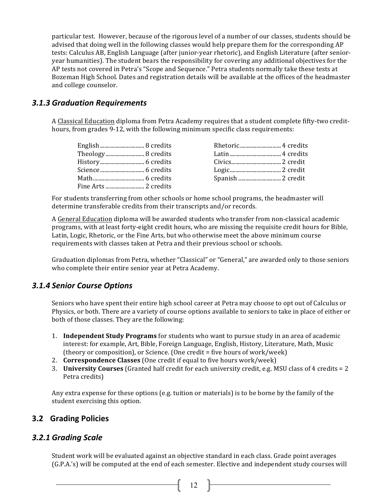particular test. However, because of the rigorous level of a number of our classes, students should be advised that doing well in the following classes would help prepare them for the corresponding AP tests: Calculus AB, English Language (after junior-year rhetoric), and English Literature (after senioryear humanities). The student bears the responsibility for covering any additional objectives for the AP tests not covered in Petra's "Scope and Sequence." Petra students normally take these tests at Bozeman High School. Dates and registration details will be available at the offices of the headmaster and college counselor.

### *3.1.3 Graduation Requirements*

A Classical Education diploma from Petra Academy requires that a student complete fifty-two credithours, from grades 9-12, with the following minimum specific class requirements:

For students transferring from other schools or home school programs, the headmaster will determine transferable credits from their transcripts and/or records.

A General Education diploma will be awarded students who transfer from non-classical academic programs, with at least forty-eight credit hours, who are missing the requisite credit hours for Bible, Latin, Logic, Rhetoric, or the Fine Arts, but who otherwise meet the above minimum course requirements with classes taken at Petra and their previous school or schools.

Graduation diplomas from Petra, whether "Classical" or "General," are awarded only to those seniors who complete their entire senior year at Petra Academy.

#### *3.1.4 Senior Course Options*

Seniors who have spent their entire high school career at Petra may choose to opt out of Calculus or Physics, or both. There are a variety of course options available to seniors to take in place of either or both of those classes. They are the following:

- 1. **Independent Study Programs** for students who want to pursue study in an area of academic interest: for example, Art, Bible, Foreign Language, English, History, Literature, Math, Music (theory or composition), or Science. (One credit  $=$  five hours of work/week)
- 2. **Correspondence Classes** (One credit if equal to five hours work/week)
- 3. **University Courses** (Granted half credit for each university credit, e.g. MSU class of 4 credits = 2 Petra credits)

Any extra expense for these options (e.g. tuition or materials) is to be borne by the family of the student exercising this option.

### **3.2 Grading Policies**

#### *3.2.1 Grading Scale*

Student work will be evaluated against an objective standard in each class. Grade point averages (G.P.A.'s) will be computed at the end of each semester. Elective and independent study courses will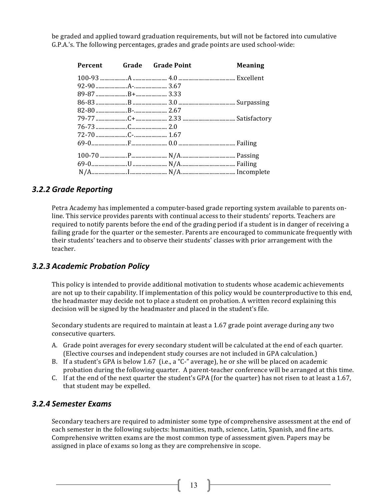be graded and applied toward graduation requirements, but will not be factored into cumulative G.P.A.'s. The following percentages, grades and grade points are used school-wide:

|  | Percent Grade Grade Point | <b>Meaning</b> |
|--|---------------------------|----------------|
|  |                           |                |
|  |                           |                |
|  |                           |                |
|  |                           |                |
|  |                           |                |
|  |                           |                |
|  |                           |                |
|  |                           |                |
|  |                           |                |
|  |                           |                |
|  |                           |                |
|  |                           |                |
|  |                           |                |

### *3.2.2 Grade Reporting*

Petra Academy has implemented a computer-based grade reporting system available to parents online. This service provides parents with continual access to their students' reports. Teachers are required to notify parents before the end of the grading period if a student is in danger of receiving a failing grade for the quarter or the semester. Parents are encouraged to communicate frequently with their students' teachers and to observe their students' classes with prior arrangement with the teacher.

### *3.2.3 Academic Probation Policy*

This policy is intended to provide additional motivation to students whose academic achievements are not up to their capability. If implementation of this policy would be counterproductive to this end, the headmaster may decide not to place a student on probation. A written record explaining this decision will be signed by the headmaster and placed in the student's file.

Secondary students are required to maintain at least a 1.67 grade point average during any two consecutive quarters.

- A. Grade point averages for every secondary student will be calculated at the end of each quarter. (Elective courses and independent study courses are not included in GPA calculation.)
- B. If a student's GPA is below 1.67 (i.e., a "C-" average), he or she will be placed on academic probation during the following quarter. A parent-teacher conference will be arranged at this time.
- C. If at the end of the next quarter the student's GPA (for the quarter) has not risen to at least a 1.67, that student may be expelled.

#### *3.2.4 Semester Exams*

Secondary teachers are required to administer some type of comprehensive assessment at the end of each semester in the following subjects: humanities, math, science, Latin, Spanish, and fine arts. Comprehensive written exams are the most common type of assessment given. Papers may be assigned in place of exams so long as they are comprehensive in scope.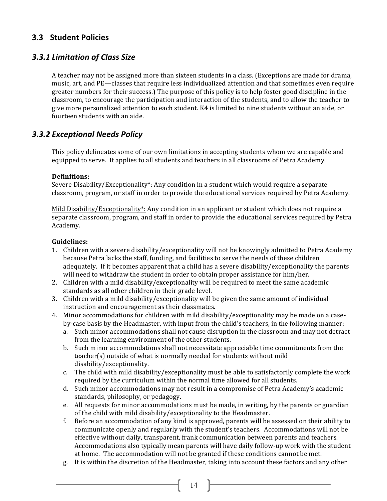### **3.3 Student Policies**

### *3.3.1 Limitation of Class Size*

A teacher may not be assigned more than sixteen students in a class. (Exceptions are made for drama, music, art, and PE—classes that require less individualized attention and that sometimes even require greater numbers for their success.) The purpose of this policy is to help foster good discipline in the classroom, to encourage the participation and interaction of the students, and to allow the teacher to give more personalized attention to each student. K4 is limited to nine students without an aide, or fourteen students with an aide.

### *3.3.2 Exceptional Needs Policy*

This policy delineates some of our own limitations in accepting students whom we are capable and equipped to serve. It applies to all students and teachers in all classrooms of Petra Academy.

#### **Definitions:**

Severe Disability/Exceptionality\*: Any condition in a student which would require a separate classroom, program, or staff in order to provide the educational services required by Petra Academy.

Mild Disability/Exceptionality\*: Any condition in an applicant or student which does not require a separate classroom, program, and staff in order to provide the educational services required by Petra Academy. 

#### **Guidelines:**

- 1. Children with a severe disability/exceptionality will not be knowingly admitted to Petra Academy because Petra lacks the staff, funding, and facilities to serve the needs of these children adequately. If it becomes apparent that a child has a severe disability/exceptionality the parents will need to withdraw the student in order to obtain proper assistance for him/her.
- 2. Children with a mild disability/exceptionality will be required to meet the same academic standards as all other children in their grade level.
- 3. Children with a mild disability/exceptionality will be given the same amount of individual instruction and encouragement as their classmates.
- 4. Minor accommodations for children with mild disability/exceptionality may be made on a caseby-case basis by the Headmaster, with input from the child's teachers, in the following manner:
	- a. Such minor accommodations shall not cause disruption in the classroom and may not detract from the learning environment of the other students.
	- b. Such minor accommodations shall not necessitate appreciable time commitments from the teacher(s) outside of what is normally needed for students without mild disability/exceptionality.
	- c. The child with mild disability/exceptionality must be able to satisfactorily complete the work required by the curriculum within the normal time allowed for all students.
	- d. Such minor accommodations may not result in a compromise of Petra Academy's academic standards, philosophy, or pedagogy.
	- e. All requests for minor accommodations must be made, in writing, by the parents or guardian of the child with mild disability/exceptionality to the Headmaster.
	- f. Before an accommodation of any kind is approved, parents will be assessed on their ability to communicate openly and regularly with the student's teachers. Accommodations will not be effective without daily, transparent, frank communication between parents and teachers. Accommodations also typically mean parents will have daily follow-up work with the student at home. The accommodation will not be granted if these conditions cannot be met.
	- g. It is within the discretion of the Headmaster, taking into account these factors and any other

 $\begin{bmatrix} 14 \end{bmatrix}$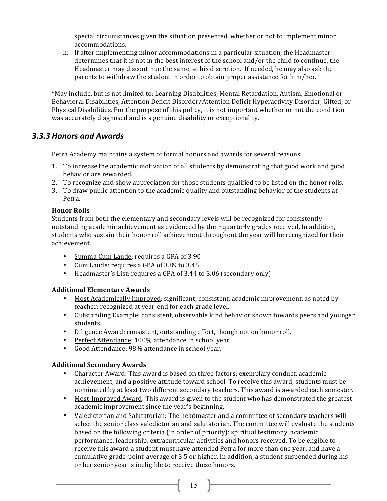special circumstances given the situation presented, whether or not to implement minor accommodations.

h. If after implementing minor accommodations in a particular situation, the Headmaster determines that it is not in the best interest of the school and/or the child to continue, the Headmaster may discontinue the same, at his discretion. If needed, he may also ask the parents to withdraw the student in order to obtain proper assistance for him/her.

\*May include, but is not limited to: Learning Disabilities, Mental Retardation, Autism, Emotional or Behavioral Disabilities, Attention Deficit Disorder/Attention Deficit Hyperactivity Disorder, Gifted, or Physical Disabilities. For the purpose of this policy, it is not important whether or not the condition was accurately diagnosed and is a genuine disability or exceptionality.

### *3.3.3 Honors and Awards*

Petra Academy maintains a system of formal honors and awards for several reasons:

- 1. To increase the academic motivation of all students by demonstrating that good work and good behavior are rewarded.
- 2. To recognize and show appreciation for those students qualified to be listed on the honor rolls.
- 3. To draw public attention to the academic quality and outstanding behavior of the students at Petra.

#### **Honor Rolls**

Students from both the elementary and secondary levels will be recognized for consistently outstanding academic achievement as evidenced by their quarterly grades received. In addition, students who sustain their honor roll achievement throughout the year will be recognized for their achievement.

- Summa Cum Laude: requires a GPA of 3.90
- Cum Laude: requires a GPA of 3.89 to 3.45
- Headmaster's List: requires a GPA of 3.44 to 3.06 (secondary only)

#### **Additional Elementary Awards**

- Most Academically Improved: significant, consistent, academic improvement, as noted by teacher; recognized at year-end for each grade level.
- Outstanding Example: consistent, observable kind behavior shown towards peers and younger students.
- Diligence Award: consistent, outstanding effort, though not on honor roll.
- Perfect Attendance: 100% attendance in school year.
- Good Attendance: 98% attendance in school year.

#### **Additional Secondary Awards**

- Character Award: This award is based on three factors: exemplary conduct, academic achievement, and a positive attitude toward school. To receive this award, students must be nominated by at least two different secondary teachers. This award is awarded each semester.
- Most-Improved Award: This award is given to the student who has demonstrated the greatest academic improvement since the year's beginning.
- Valedictorian and Salutatorian: The headmaster and a committee of secondary teachers will select the senior class valedictorian and salutatorian. The committee will evaluate the students based on the following criteria (in order of priority): spiritual testimony, academic performance, leadership, extracurricular activities and honors received. To be eligible to receive this award a student must have attended Petra for more than one year, and have a cumulative grade-point-average of 3.5 or higher. In addition, a student suspended during his or her senior year is ineligible to receive these honors.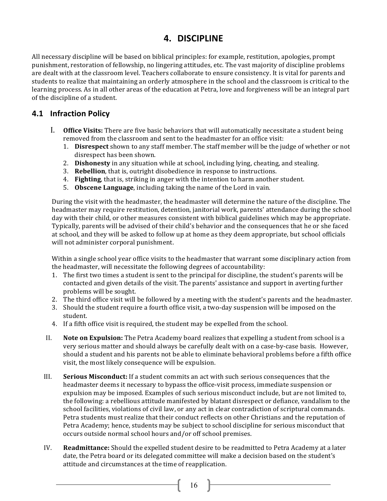# **4. DISCIPLINE**

All necessary discipline will be based on biblical principles: for example, restitution, apologies, prompt punishment, restoration of fellowship, no lingering attitudes, etc. The vast majority of discipline problems are dealt with at the classroom level. Teachers collaborate to ensure consistency. It is vital for parents and students to realize that maintaining an orderly atmosphere in the school and the classroom is critical to the learning process. As in all other areas of the education at Petra, love and forgiveness will be an integral part of the discipline of a student.

### **4.1 Infraction Policy**

- I. **Office Visits:** There are five basic behaviors that will automatically necessitate a student being removed from the classroom and sent to the headmaster for an office visit:
	- 1. **Disrespect** shown to any staff member. The staff member will be the judge of whether or not disrespect has been shown.
	- 2. **Dishonesty** in any situation while at school, including lying, cheating, and stealing.
	- 3. **Rebellion**, that is, outright disobedience in response to instructions.
	- 4. **Fighting**, that is, striking in anger with the intention to harm another student.
	- 5. Obscene Language, including taking the name of the Lord in vain.

During the visit with the headmaster, the headmaster will determine the nature of the discipline. The headmaster may require restitution, detention, janitorial work, parents' attendance during the school day with their child, or other measures consistent with biblical guidelines which may be appropriate. Typically, parents will be advised of their child's behavior and the consequences that he or she faced at school, and they will be asked to follow up at home as they deem appropriate, but school officials will not administer corporal punishment.

Within a single school year office visits to the headmaster that warrant some disciplinary action from the headmaster, will necessitate the following degrees of accountability:

- 1. The first two times a student is sent to the principal for discipline, the student's parents will be contacted and given details of the visit. The parents' assistance and support in averting further problems will be sought.
- 2. The third office visit will be followed by a meeting with the student's parents and the headmaster.
- 3. Should the student require a fourth office visit, a two-day suspension will be imposed on the student.
- 4. If a fifth office visit is required, the student may be expelled from the school.
- II. **Note on Expulsion:** The Petra Academy board realizes that expelling a student from school is a very serious matter and should always be carefully dealt with on a case-by-case basis. However, should a student and his parents not be able to eliminate behavioral problems before a fifth office visit, the most likely consequence will be expulsion.
- III. **Serious Misconduct:** If a student commits an act with such serious consequences that the headmaster deems it necessary to bypass the office-visit process, immediate suspension or expulsion may be imposed. Examples of such serious misconduct include, but are not limited to, the following: a rebellious attitude manifested by blatant disrespect or defiance, vandalism to the school facilities, violations of civil law, or any act in clear contradiction of scriptural commands. Petra students must realize that their conduct reflects on other Christians and the reputation of Petra Academy; hence, students may be subject to school discipline for serious misconduct that occurs outside normal school hours and/or off school premises.
- IV. **Readmittance:** Should the expelled student desire to be readmitted to Petra Academy at a later date, the Petra board or its delegated committee will make a decision based on the student's attitude and circumstances at the time of reapplication.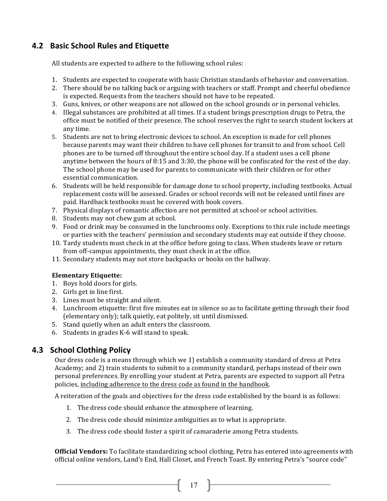### **4.2 Basic School Rules and Etiquette**

All students are expected to adhere to the following school rules:

- 1. Students are expected to cooperate with basic Christian standards of behavior and conversation.
- 2. There should be no talking back or arguing with teachers or staff. Prompt and cheerful obedience is expected. Requests from the teachers should not have to be repeated.
- 3. Guns, knives, or other weapons are not allowed on the school grounds or in personal vehicles.
- 4. Illegal substances are prohibited at all times. If a student brings prescription drugs to Petra, the office must be notified of their presence. The school reserves the right to search student lockers at any time.
- 5. Students are not to bring electronic devices to school. An exception is made for cell phones because parents may want their children to have cell phones for transit to and from school. Cell phones are to be turned off throughout the entire school day. If a student uses a cell phone anytime between the hours of 8:15 and 3:30, the phone will be confiscated for the rest of the day. The school phone may be used for parents to communicate with their children or for other essential communication.
- 6. Students will be held responsible for damage done to school property, including textbooks. Actual replacement costs will be assessed. Grades or school records will not be released until fines are paid. Hardback textbooks must be covered with book covers.
- 7. Physical displays of romantic affection are not permitted at school or school activities.
- 8. Students may not chew gum at school.
- 9. Food or drink may be consumed in the lunchrooms only. Exceptions to this rule include meetings or parties with the teachers' permission and secondary students may eat outside if they choose.
- 10. Tardy students must check in at the office before going to class. When students leave or return from off-campus appointments, they must check in at the office.
- 11. Secondary students may not store backpacks or books on the hallway.

#### **Elementary Etiquette:**

- 1. Boys hold doors for girls.
- 2. Girls get in line first.
- 3. Lines must be straight and silent.
- 4. Lunchroom etiquette: first five minutes eat in silence so as to facilitate getting through their food (elementary only); talk quietly, eat politely, sit until dismissed.
- 5. Stand quietly when an adult enters the classroom.
- 6. Students in grades  $K-6$  will stand to speak.

### **4.3 School Clothing Policy**

Our dress code is a means through which we 1) establish a community standard of dress at Petra Academy; and 2) train students to submit to a community standard, perhaps instead of their own personal preferences. By enrolling your student at Petra, parents are expected to support all Petra policies, including adherence to the dress code as found in the handbook.

A reiteration of the goals and objectives for the dress code established by the board is as follows:

- 1. The dress code should enhance the atmosphere of learning.
- 2. The dress code should minimize ambiguities as to what is appropriate.
- 3. The dress code should foster a spirit of camaraderie among Petra students.

**Official Vendors:** To facilitate standardizing school clothing, Petra has entered into agreements with official online vendors, Land's End, Hall Closet, and French Toast. By entering Petra's "source code"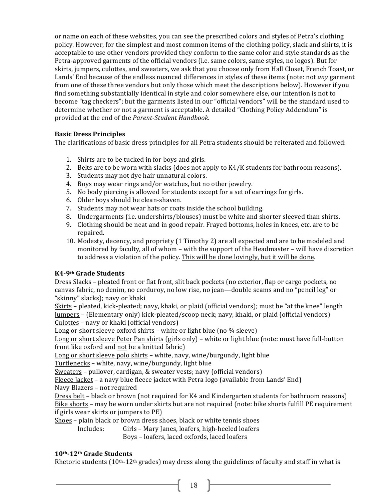or name on each of these websites, you can see the prescribed colors and styles of Petra's clothing policy. However, for the simplest and most common items of the clothing policy, slack and shirts, it is acceptable to use other vendors provided they conform to the same color and style standards as the Petra-approved garments of the official vendors (i.e. same colors, same styles, no logos). But for skirts, jumpers, culottes, and sweaters, we ask that you choose only from Hall Closet, French Toast, or Lands' End because of the endless nuanced differences in styles of these items (note: not *any* garment from one of these three vendors but only those which meet the descriptions below). However if you find something substantially identical in style and color somewhere else, our intention is not to become "tag checkers"; but the garments listed in our "official vendors" will be the standard used to determine whether or not a garment is acceptable. A detailed "Clothing Policy Addendum" is provided at the end of the *Parent-Student Handbook*.

#### **Basic Dress Principles**

The clarifications of basic dress principles for all Petra students should be reiterated and followed:

- 1. Shirts are to be tucked in for boys and girls.
- 2. Belts are to be worn with slacks (does not apply to  $K4/K$  students for bathroom reasons).
- 3. Students may not dye hair unnatural colors.
- 4. Boys may wear rings and/or watches, but no other jewelry.
- 5. No body piercing is allowed for students except for a set of earrings for girls.
- 6. Older boys should be clean-shaven.
- 7. Students may not wear hats or coats inside the school building.
- 8. Undergarments (i.e. undershirts/blouses) must be white and shorter sleeved than shirts.
- 9. Clothing should be neat and in good repair. Frayed bottoms, holes in knees, etc. are to be repaired.
- 10. Modesty, decency, and propriety (1 Timothy 2) are all expected and are to be modeled and monitored by faculty, all of whom – with the support of the Headmaster – will have discretion to address a violation of the policy. This will be done lovingly, but it will be done.

#### **K4-9th Grade Students**

Dress Slacks - pleated front or flat front, slit back pockets (no exterior, flap or cargo pockets, no canvas fabric, no denim, no corduroy, no low rise, no jean—double seams and no "pencil leg" or "skinny" slacks); navy or khaki

Skirts - pleated, kick-pleated; navy, khaki, or plaid (official vendors); must be "at the knee" length Jumpers – (Elementary only) kick-pleated/scoop neck; navy, khaki, or plaid (official vendors) Culottes – navy or khaki (official vendors)

Long or short sleeve oxford shirts - white or light blue (no  $\frac{3}{4}$  sleeve)

Long or short sleeve Peter Pan shirts (girls only) – white or light blue (note: must have full-button front like oxford and not be a knitted fabric)

Long or short sleeve polo shirts - white, navy, wine/burgundy, light blue

Turtlenecks - white, navy, wine/burgundy, light blue

Sweaters - pullover, cardigan, & sweater vests; navy (official vendors)

Fleece  $Jacket - a$  navy blue fleece jacket with Petra logo (available from Lands' End)

Navy Blazers - not required

Dress belt – black or brown (not required for K4 and Kindergarten students for bathroom reasons) Bike shorts – may be worn under skirts but are not required (note: bike shorts fulfill PE requirement if girls wear skirts or jumpers to  $PE$ )

Shoes - plain black or brown dress shoes, black or white tennis shoes

Includes: Girls – Mary Janes, loafers, high-heeled loafers

Boys - loafers, laced oxfords, laced loafers

#### **10th-12th Grade Students**

Rhetoric students  $(10<sup>th-12<sup>th</sup></sup>$  grades) may dress along the guidelines of faculty and staff in what is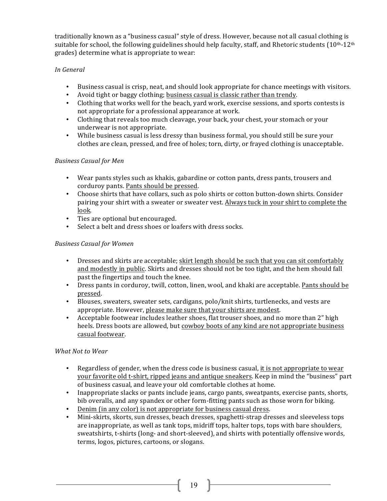traditionally known as a "business casual" style of dress. However, because not all casual clothing is suitable for school, the following guidelines should help faculty, staff, and Rhetoric students  $(10^{th-12th})$ grades) determine what is appropriate to wear:

#### *In General*

- Business casual is crisp, neat, and should look appropriate for chance meetings with visitors.
- Avoid tight or baggy clothing; business casual is classic rather than trendy.
- Clothing that works well for the beach, yard work, exercise sessions, and sports contests is not appropriate for a professional appearance at work.
- Clothing that reveals too much cleavage, your back, your chest, your stomach or your underwear is not appropriate.
- While business casual is less dressy than business formal, you should still be sure your clothes are clean, pressed, and free of holes; torn, dirty, or frayed clothing is unacceptable.

#### *Business Casual for Men*

- Wear pants styles such as khakis, gabardine or cotton pants, dress pants, trousers and corduroy pants. Pants should be pressed.
- Choose shirts that have collars, such as polo shirts or cotton button-down shirts. Consider pairing your shirt with a sweater or sweater vest. Always tuck in your shirt to complete the look.
- Ties are optional but encouraged.
- Select a belt and dress shoes or loafers with dress socks.

#### *Business Casual for Women*

- Dresses and skirts are acceptable; skirt length should be such that you can sit comfortably and modestly in public. Skirts and dresses should not be too tight, and the hem should fall past the fingertips and touch the knee.
- Dress pants in corduroy, twill, cotton, linen, wool, and khaki are acceptable. Pants should be pressed.
- Blouses, sweaters, sweater sets, cardigans, polo/knit shirts, turtlenecks, and vests are appropriate. However, please make sure that your shirts are modest.
- Acceptable footwear includes leather shoes, flat trouser shoes, and no more than 2" high heels. Dress boots are allowed, but cowboy boots of any kind are not appropriate business casual footwear.

#### *What Not to Wear*

- Regardless of gender, when the dress code is business casual, it is not appropriate to wear your favorite old t-shirt, ripped jeans and antique sneakers. Keep in mind the "business" part of business casual, and leave your old comfortable clothes at home.
- Inappropriate slacks or pants include jeans, cargo pants, sweatpants, exercise pants, shorts, bib overalls, and any spandex or other form-fitting pants such as those worn for biking.
- Denim (in any color) is not appropriate for business casual dress.
- Mini-skirts, skorts, sun dresses, beach dresses, spaghetti-strap dresses and sleeveless tops are inappropriate, as well as tank tops, midriff tops, halter tops, tops with bare shoulders, sweatshirts, t-shirts (long- and short-sleeved), and shirts with potentially offensive words, terms, logos, pictures, cartoons, or slogans.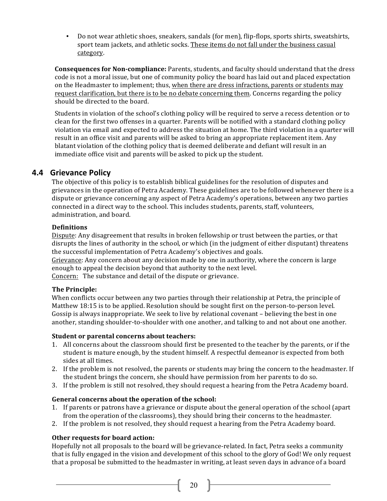Do not wear athletic shoes, sneakers, sandals (for men), flip-flops, sports shirts, sweatshirts, sport team jackets, and athletic socks. These items do not fall under the business casual category.

**Consequences for Non-compliance:** Parents, students, and faculty should understand that the dress code is not a moral issue, but one of community policy the board has laid out and placed expectation on the Headmaster to implement; thus, when there are dress infractions, parents or students may request clarification, but there is to be no debate concerning them. Concerns regarding the policy should be directed to the board.

Students in violation of the school's clothing policy will be required to serve a recess detention or to clean for the first two offenses in a quarter. Parents will be notified with a standard clothing policy violation via email and expected to address the situation at home. The third violation in a quarter will result in an office visit and parents will be asked to bring an appropriate replacement item. Any blatant violation of the clothing policy that is deemed deliberate and defiant will result in an immediate office visit and parents will be asked to pick up the student.

### **4.4 Grievance Policy**

The objective of this policy is to establish biblical guidelines for the resolution of disputes and grievances in the operation of Petra Academy. These guidelines are to be followed whenever there is a dispute or grievance concerning any aspect of Petra Academy's operations, between any two parties connected in a direct way to the school. This includes students, parents, staff, volunteers, administration, and board.

#### **Definitions**

Dispute: Any disagreement that results in broken fellowship or trust between the parties, or that disrupts the lines of authority in the school, or which (in the judgment of either disputant) threatens the successful implementation of Petra Academy's objectives and goals.

Grievance: Any concern about any decision made by one in authority, where the concern is large enough to appeal the decision beyond that authority to the next level.

Concern: The substance and detail of the dispute or grievance.

#### **The Principle:**

When conflicts occur between any two parties through their relationship at Petra, the principle of Matthew 18:15 is to be applied. Resolution should be sought first on the person-to-person level. Gossip is always inappropriate. We seek to live by relational covenant – believing the best in one another, standing shoulder-to-shoulder with one another, and talking to and not about one another.

#### **Student or parental concerns about teachers:**

- 1. All concerns about the classroom should first be presented to the teacher by the parents, or if the student is mature enough, by the student himself. A respectful demeanor is expected from both sides at all times.
- 2. If the problem is not resolved, the parents or students may bring the concern to the headmaster. If the student brings the concern, she should have permission from her parents to do so.
- 3. If the problem is still not resolved, they should request a hearing from the Petra Academy board.

#### General concerns about the operation of the school:

- 1. If parents or patrons have a grievance or dispute about the general operation of the school (apart from the operation of the classrooms), they should bring their concerns to the headmaster.
- 2. If the problem is not resolved, they should request a hearing from the Petra Academy board.

#### **Other requests for board action:**

Hopefully not all proposals to the board will be grievance-related. In fact, Petra seeks a community that is fully engaged in the vision and development of this school to the glory of God! We only request that a proposal be submitted to the headmaster in writing, at least seven days in advance of a board

 $20 \quad \blacksquare$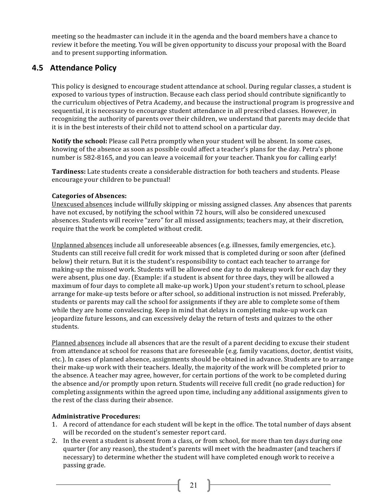meeting so the headmaster can include it in the agenda and the board members have a chance to review it before the meeting. You will be given opportunity to discuss your proposal with the Board and to present supporting information.

### **4.5 Attendance Policy**

This policy is designed to encourage student attendance at school. During regular classes, a student is exposed to various types of instruction. Because each class period should contribute significantly to the curriculum objectives of Petra Academy, and because the instructional program is progressive and sequential, it is necessary to encourage student attendance in all prescribed classes. However, in recognizing the authority of parents over their children, we understand that parents may decide that it is in the best interests of their child not to attend school on a particular day.

**Notify the school:** Please call Petra promptly when your student will be absent. In some cases, knowing of the absence as soon as possible could affect a teacher's plans for the day. Petra's phone number is 582-8165, and you can leave a voicemail for your teacher. Thank you for calling early!

**Tardiness:** Late students create a considerable distraction for both teachers and students. Please encourage your children to be punctual!

#### **Categories of Absences:**

Unexcused absences include willfully skipping or missing assigned classes. Any absences that parents have not excused, by notifying the school within 72 hours, will also be considered unexcused absences. Students will receive "zero" for all missed assignments; teachers may, at their discretion, require that the work be completed without credit.

Unplanned absences include all unforeseeable absences (e.g. illnesses, family emergencies, etc.). Students can still receive full credit for work missed that is completed during or soon after (defined below) their return. But it is the student's responsibility to contact each teacher to arrange for making-up the missed work. Students will be allowed one day to do makeup work for each day they were absent, plus one day. (Example: if a student is absent for three days, they will be allowed a maximum of four days to complete all make-up work.) Upon your student's return to school, please arrange for make-up tests before or after school, so additional instruction is not missed. Preferably, students or parents may call the school for assignments if they are able to complete some of them while they are home convalescing. Keep in mind that delays in completing make-up work can jeopardize future lessons, and can excessively delay the return of tests and quizzes to the other students.

Planned absences include all absences that are the result of a parent deciding to excuse their student from attendance at school for reasons that are foreseeable (e.g. family vacations, doctor, dentist visits, etc.). In cases of planned absence, assignments should be obtained in advance. Students are to arrange their make-up work with their teachers. Ideally, the majority of the work will be completed prior to the absence. A teacher may agree, however, for certain portions of the work to be completed during the absence and/or promptly upon return. Students will receive full credit (no grade reduction) for completing assignments within the agreed upon time, including any additional assignments given to the rest of the class during their absence.

#### **Administrative Procedures:**

- 1. A record of attendance for each student will be kept in the office. The total number of days absent will be recorded on the student's semester report card.
- 2. In the event a student is absent from a class, or from school, for more than ten days during one quarter (for any reason), the student's parents will meet with the headmaster (and teachers if necessary) to determine whether the student will have completed enough work to receive a passing grade.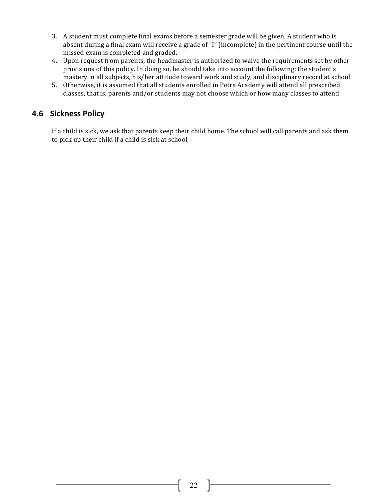- 3. A student must complete final exams before a semester grade will be given. A student who is absent during a final exam will receive a grade of "I" (incomplete) in the pertinent course until the missed exam is completed and graded.
- 4. Upon request from parents, the headmaster is authorized to waive the requirements set by other provisions of this policy. In doing so, he should take into account the following: the student's mastery in all subjects, his/her attitude toward work and study, and disciplinary record at school.
- 5. Otherwise, it is assumed that all students enrolled in Petra Academy will attend all prescribed classes, that is, parents and/or students may not choose which or how many classes to attend.

### **4.6 Sickness Policy**

If a child is sick, we ask that parents keep their child home. The school will call parents and ask them to pick up their child if a child is sick at school.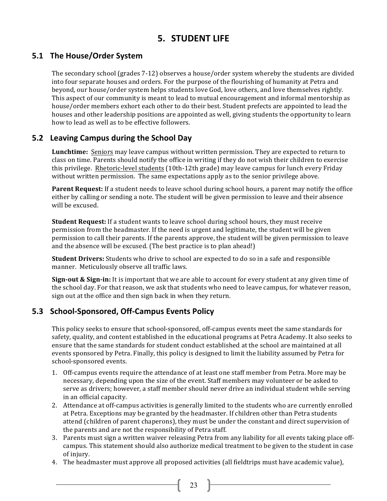# **5. STUDENT LIFE**

### **5.1 The House/Order System**

The secondary school (grades  $7-12$ ) observes a house/order system whereby the students are divided into four separate houses and orders. For the purpose of the flourishing of humanity at Petra and beyond, our house/order system helps students love God, love others, and love themselves rightly. This aspect of our community is meant to lead to mutual encouragement and informal mentorship as house/order members exhort each other to do their best. Student prefects are appointed to lead the houses and other leadership positions are appointed as well, giving students the opportunity to learn how to lead as well as to be effective followers.

### **5.2 Leaving Campus during the School Day**

**Lunchtime:** Seniors may leave campus without written permission. They are expected to return to class on time. Parents should notify the office in writing if they do not wish their children to exercise this privilege. Rhetoric-level students (10th-12th grade) may leave campus for lunch every Friday without written permission. The same expectations apply as to the senior privilege above.

Parent Request: If a student needs to leave school during school hours, a parent may notify the office either by calling or sending a note. The student will be given permission to leave and their absence will be excused.

**Student Request:** If a student wants to leave school during school hours, they must receive permission from the headmaster. If the need is urgent and legitimate, the student will be given permission to call their parents. If the parents approve, the student will be given permission to leave and the absence will be excused. (The best practice is to plan ahead!)

**Student Drivers:** Students who drive to school are expected to do so in a safe and responsible manner. Meticulously observe all traffic laws.

**Sign-out & Sign-in:** It is important that we are able to account for every student at any given time of the school day. For that reason, we ask that students who need to leave campus, for whatever reason, sign out at the office and then sign back in when they return.

### **5.3 School-Sponsored, Off-Campus Events Policy**

This policy seeks to ensure that school-sponsored, off-campus events meet the same standards for safety, quality, and content established in the educational programs at Petra Academy. It also seeks to ensure that the same standards for student conduct established at the school are maintained at all events sponsored by Petra. Finally, this policy is designed to limit the liability assumed by Petra for school-sponsored events.

- 1. Off-campus events require the attendance of at least one staff member from Petra. More may be necessary, depending upon the size of the event. Staff members may volunteer or be asked to serve as drivers; however, a staff member should never drive an individual student while serving in an official capacity.
- 2. Attendance at off-campus activities is generally limited to the students who are currently enrolled at Petra. Exceptions may be granted by the headmaster. If children other than Petra students attend (children of parent chaperons), they must be under the constant and direct supervision of the parents and are not the responsibility of Petra staff.
- 3. Parents must sign a written waiver releasing Petra from any liability for all events taking place offcampus. This statement should also authorize medical treatment to be given to the student in case of injury.
- 4. The headmaster must approve all proposed activities (all fieldtrips must have academic value),

23 }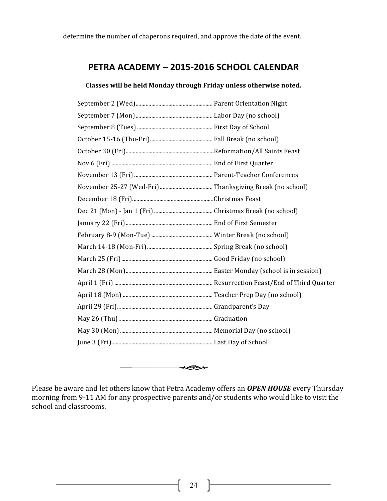# **PETRA ACADEMY – 2015-2016 SCHOOL CALENDAR**

#### Classes will be held Monday through Friday unless otherwise noted.



Please be aware and let others know that Petra Academy offers an **OPEN HOUSE** every Thursday morning from 9-11 AM for any prospective parents and/or students who would like to visit the school and classrooms.